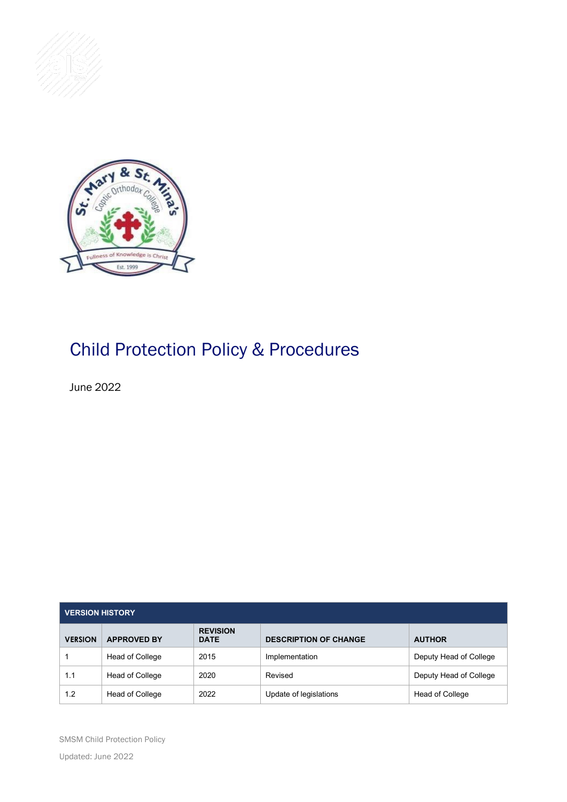



# Child Protection Policy & Procedures

June 2022

| <b>VERSION HISTORY</b> |                    |                                |                              |                        |  |  |
|------------------------|--------------------|--------------------------------|------------------------------|------------------------|--|--|
| <b>VERSION</b>         | <b>APPROVED BY</b> | <b>REVISION</b><br><b>DATE</b> | <b>DESCRIPTION OF CHANGE</b> | <b>AUTHOR</b>          |  |  |
|                        | Head of College    | 2015                           | Implementation               | Deputy Head of College |  |  |
| 1.1                    | Head of College    | 2020                           | Revised                      | Deputy Head of College |  |  |
| 1.2                    | Head of College    | 2022                           | Update of legislations       | Head of College        |  |  |

SMSM Child Protection Policy Updated: June 2022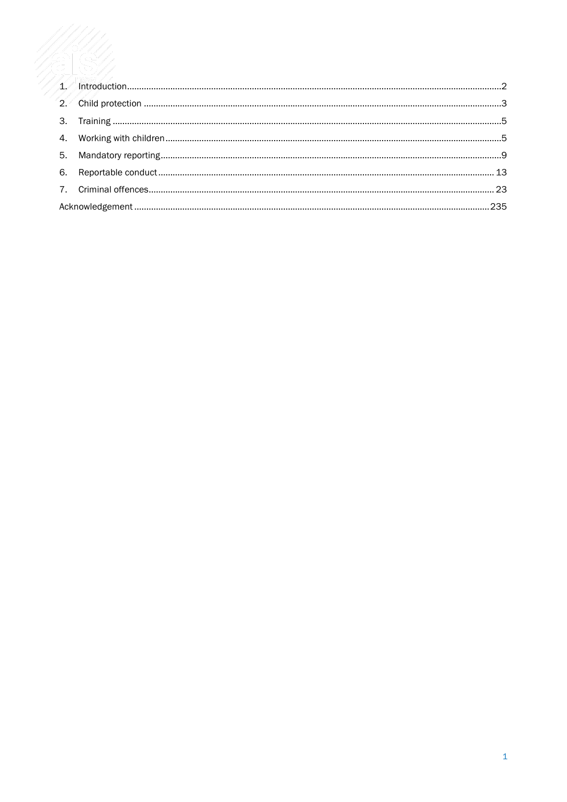| $\mathcal{D}$ |      |
|---------------|------|
| 3.            |      |
| 4.            |      |
| 5.            |      |
| 6.            |      |
|               |      |
|               | .235 |
|               |      |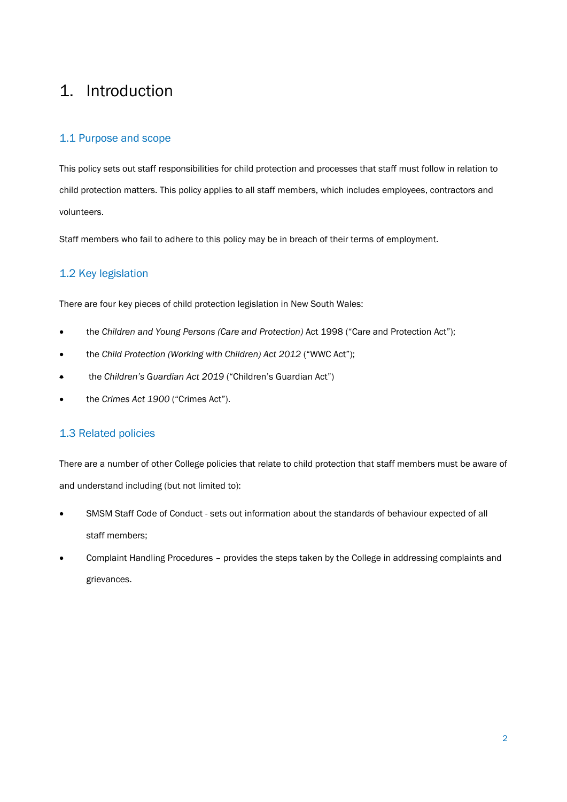## <span id="page-2-0"></span>1. Introduction

## 1.1 Purpose and scope

This policy sets out staff responsibilities for child protection and processes that staff must follow in relation to child protection matters. This policy applies to all staff members, which includes employees, contractors and volunteers.

Staff members who fail to adhere to this policy may be in breach of their terms of employment.

## 1.2 Key legislation

There are four key pieces of child protection legislation in New South Wales:

- the *Children and Young Persons (Care and Protection)* Act 1998 ("Care and Protection Act");
- the *Child Protection (Working with Children) Act 2012* ("WWC Act");
- the *Children's Guardian Act 2019* ("Children's Guardian Act")
- the *Crimes Act 1900* ("Crimes Act").

## 1.3 Related policies

There are a number of other College policies that relate to child protection that staff members must be aware of and understand including (but not limited to):

- SMSM Staff Code of Conduct sets out information about the standards of behaviour expected of all staff members;
- Complaint Handling Procedures provides the steps taken by the College in addressing complaints and grievances.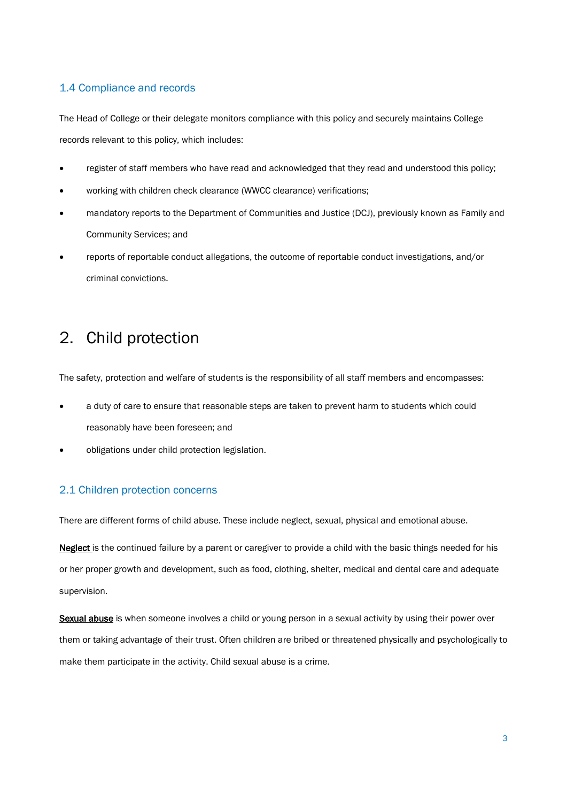## 1.4 Compliance and records

The Head of College or their delegate monitors compliance with this policy and securely maintains College records relevant to this policy, which includes:

- register of staff members who have read and acknowledged that they read and understood this policy;
- working with children check clearance (WWCC clearance) verifications;
- mandatory reports to the Department of Communities and Justice (DCJ), previously known as Family and Community Services; and
- reports of reportable conduct allegations, the outcome of reportable conduct investigations, and/or criminal convictions.

## <span id="page-3-0"></span>2. Child protection

The safety, protection and welfare of students is the responsibility of all staff members and encompasses:

- a duty of care to ensure that reasonable steps are taken to prevent harm to students which could reasonably have been foreseen; and
- obligations under child protection legislation.

## 2.1 Children protection concerns

There are different forms of child abuse. These include neglect, sexual, physical and emotional abuse.

Neglect is the continued failure by a parent or caregiver to provide a child with the basic things needed for his or her proper growth and development, such as food, clothing, shelter, medical and dental care and adequate supervision.

Sexual abuse is when someone involves a child or young person in a sexual activity by using their power over them or taking advantage of their trust. Often children are bribed or threatened physically and psychologically to make them participate in the activity. Child sexual abuse is a crime.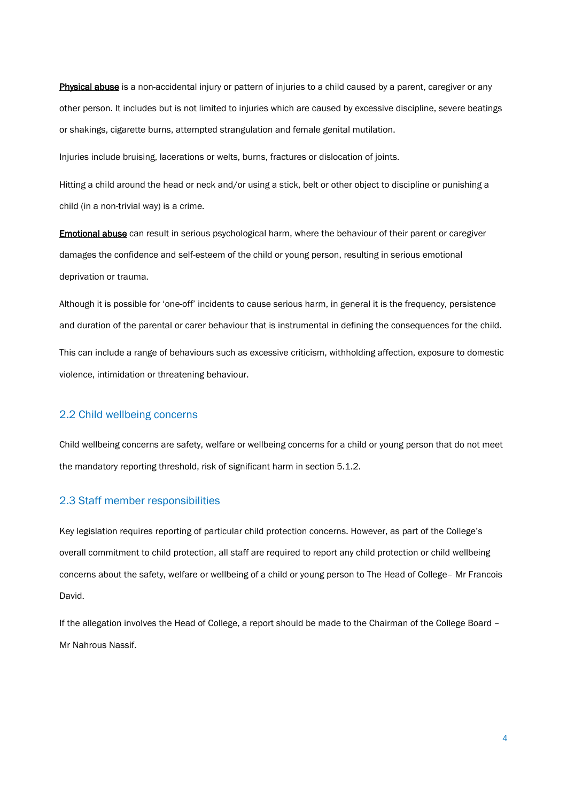Physical abuse is a non-accidental injury or pattern of injuries to a child caused by a parent, caregiver or any other person. It includes but is not limited to injuries which are caused by excessive discipline, severe beatings or shakings, cigarette burns, attempted strangulation and female genital mutilation.

Injuries include bruising, lacerations or welts, burns, fractures or dislocation of joints.

Hitting a child around the head or neck and/or using a stick, belt or other object to discipline or punishing a child (in a non-trivial way) is a crime.

Emotional abuse can result in serious psychological harm, where the behaviour of their parent or caregiver damages the confidence and self-esteem of the child or young person, resulting in serious emotional deprivation or trauma.

Although it is possible for 'one-off' incidents to cause serious harm, in general it is the frequency, persistence and duration of the parental or carer behaviour that is instrumental in defining the consequences for the child.

This can include a range of behaviours such as excessive criticism, withholding affection, exposure to domestic violence, intimidation or threatening behaviour.

#### 2.2 Child wellbeing concerns

Child wellbeing concerns are safety, welfare or wellbeing concerns for a child or young person that do not meet the mandatory reporting threshold, risk of significant harm in section 5.1.2.

#### 2.3 Staff member responsibilities

Key legislation requires reporting of particular child protection concerns. However, as part of the College's overall commitment to child protection, all staff are required to report any child protection or child wellbeing concerns about the safety, welfare or wellbeing of a child or young person to The Head of College– Mr Francois David.

If the allegation involves the Head of College, a report should be made to the Chairman of the College Board – Mr Nahrous Nassif.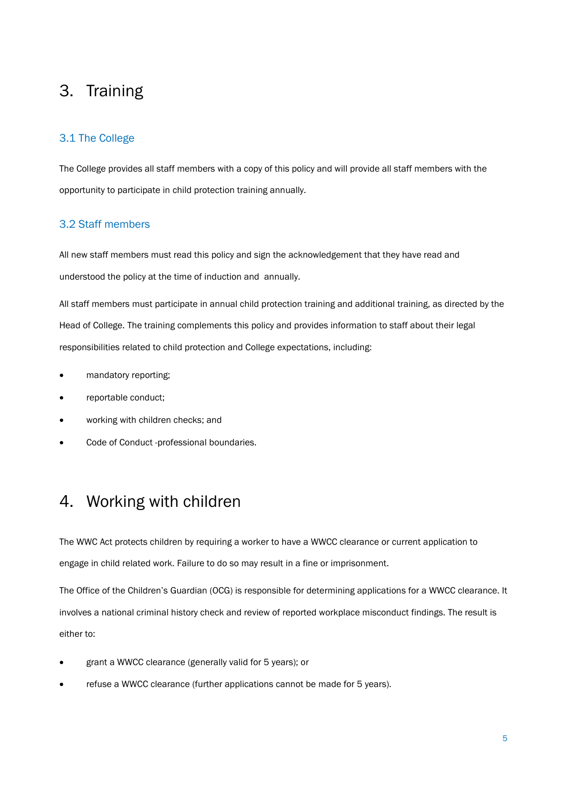## <span id="page-5-0"></span>3. Training

## 3.1 The College

The College provides all staff members with a copy of this policy and will provide all staff members with the opportunity to participate in child protection training annually.

## 3.2 Staff members

All new staff members must read this policy and sign the acknowledgement that they have read and understood the policy at the time of induction and annually.

All staff members must participate in annual child protection training and additional training, as directed by the Head of College. The training complements this policy and provides information to staff about their legal responsibilities related to child protection and College expectations, including:

- mandatory reporting;
- reportable conduct;
- working with children checks; and
- Code of Conduct -professional boundaries.

## <span id="page-5-1"></span>4. Working with children

The WWC Act protects children by requiring a worker to have a WWCC clearance or current application to engage in child related work. Failure to do so may result in a fine or imprisonment.

The Office of the Children's Guardian (OCG) is responsible for determining applications for a WWCC clearance. It involves a national criminal history check and review of reported workplace misconduct findings. The result is either to:

- grant a WWCC clearance (generally valid for 5 years); or
- refuse a WWCC clearance (further applications cannot be made for 5 years).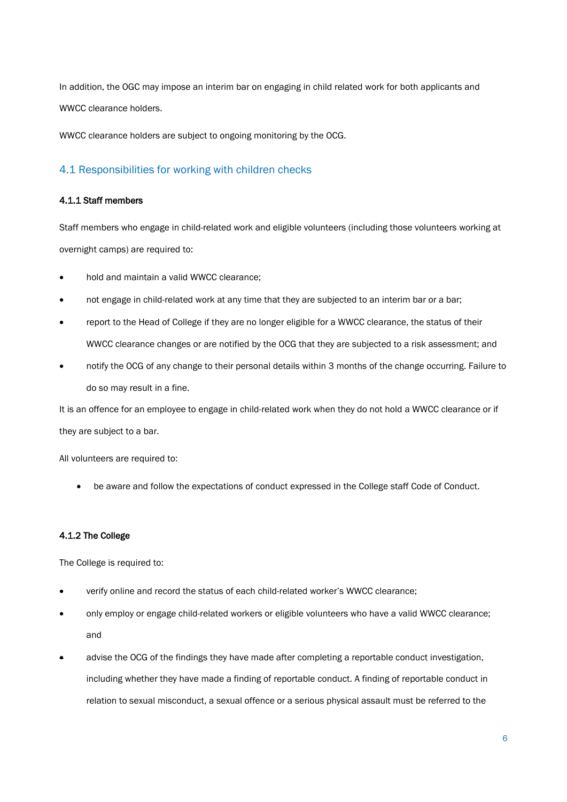In addition, the OGC may impose an interim bar on engaging in child related work for both applicants and WWCC clearance holders.

WWCC clearance holders are subject to ongoing monitoring by the OCG.

## 4.1 Responsibilities for working with children checks

### 4.1.1 Staff members

Staff members who engage in child-related work and eligible volunteers (including those volunteers working at overnight camps) are required to:

- hold and maintain a valid WWCC clearance;
- not engage in child-related work at any time that they are subjected to an interim bar or a bar;
- report to the Head of College if they are no longer eligible for a WWCC clearance, the status of their WWCC clearance changes or are notified by the OCG that they are subjected to a risk assessment; and
- notify the OCG of any change to their personal details within 3 months of the change occurring. Failure to do so may result in a fine.

It is an offence for an employee to engage in child-related work when they do not hold a WWCC clearance or if they are subject to a bar.

All volunteers are required to:

• be aware and follow the expectations of conduct expressed in the College staff Code of Conduct.

### 4.1.2 The College

The College is required to:

- verify online and record the status of each child-related worker's WWCC clearance;
- only employ or engage child-related workers or eligible volunteers who have a valid WWCC clearance; and
- advise the OCG of the findings they have made after completing a reportable conduct investigation, including whether they have made a finding of reportable conduct. A finding of reportable conduct in relation to sexual misconduct, a sexual offence or a serious physical assault must be referred to the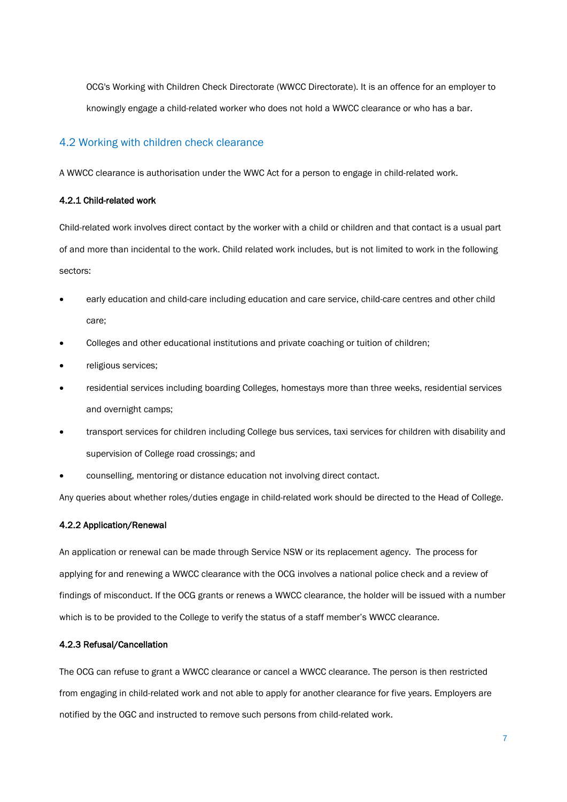OCG's Working with Children Check Directorate (WWCC Directorate). It is an offence for an employer to knowingly engage a child-related worker who does not hold a WWCC clearance or who has a bar.

### 4.2 Working with children check clearance

A WWCC clearance is authorisation under the WWC Act for a person to engage in child-related work.

#### 4.2.1 Child-related work

Child-related work involves direct contact by the worker with a child or children and that contact is a usual part of and more than incidental to the work. Child related work includes, but is not limited to work in the following sectors:

- early education and child-care including education and care service, child-care centres and other child care;
- Colleges and other educational institutions and private coaching or tuition of children;
- religious services;
- residential services including boarding Colleges, homestays more than three weeks, residential services and overnight camps;
- transport services for children including College bus services, taxi services for children with disability and supervision of College road crossings; and
- counselling, mentoring or distance education not involving direct contact.

Any queries about whether roles/duties engage in child-related work should be directed to the Head of College.

#### 4.2.2 Application/Renewal

An application or renewal can be made through Service NSW or its replacement agency. The process for applying for and renewing a WWCC clearance with the OCG involves a national police check and a review of findings of misconduct. If the OCG grants or renews a WWCC clearance, the holder will be issued with a number which is to be provided to the College to verify the status of a staff member's WWCC clearance.

#### 4.2.3 Refusal/Cancellation

The OCG can refuse to grant a WWCC clearance or cancel a WWCC clearance. The person is then restricted from engaging in child-related work and not able to apply for another clearance for five years. Employers are notified by the OGC and instructed to remove such persons from child-related work.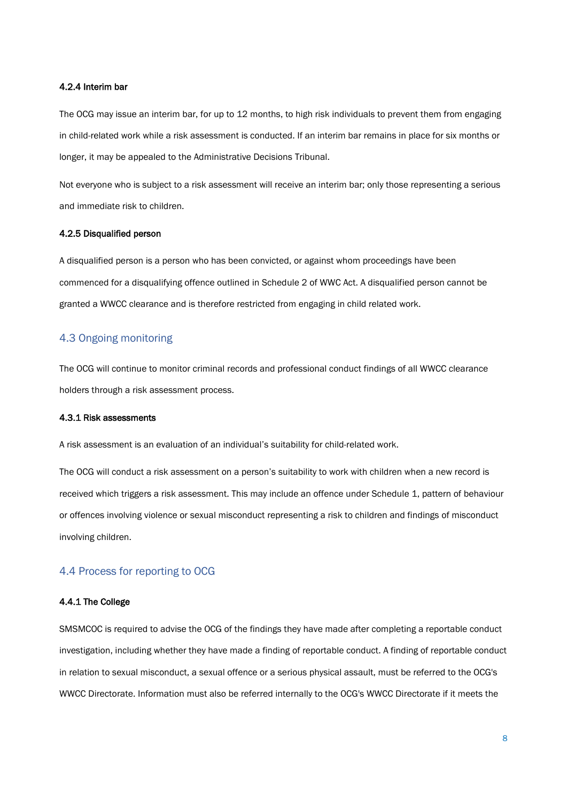#### 4.2.4 Interim bar

The OCG may issue an interim bar, for up to 12 months, to high risk individuals to prevent them from engaging in child-related work while a risk assessment is conducted. If an interim bar remains in place for six months or longer, it may be appealed to the Administrative Decisions Tribunal.

Not everyone who is subject to a risk assessment will receive an interim bar; only those representing a serious and immediate risk to children.

#### 4.2.5 Disqualified person

A disqualified person is a person who has been convicted, or against whom proceedings have been commenced for a disqualifying offence outlined in Schedule 2 of WWC Act. A disqualified person cannot be granted a WWCC clearance and is therefore restricted from engaging in child related work.

## 4.3 Ongoing monitoring

The OCG will continue to monitor criminal records and professional conduct findings of all WWCC clearance holders through a risk assessment process.

#### 4.3.1 Risk assessments

A risk assessment is an evaluation of an individual's suitability for child-related work.

The OCG will conduct a risk assessment on a person's suitability to work with children when a new record is received which triggers a risk assessment. This may include an offence under Schedule 1, pattern of behaviour or offences involving violence or sexual misconduct representing a risk to children and findings of misconduct involving children.

### 4.4 Process for reporting to OCG

#### 4.4.1 The College

SMSMCOC is required to advise the OCG of the findings they have made after completing a reportable conduct investigation, including whether they have made a finding of reportable conduct. A finding of reportable conduct in relation to sexual misconduct, a sexual offence or a serious physical assault, must be referred to the OCG's WWCC Directorate. Information must also be referred internally to the OCG's WWCC Directorate if it meets the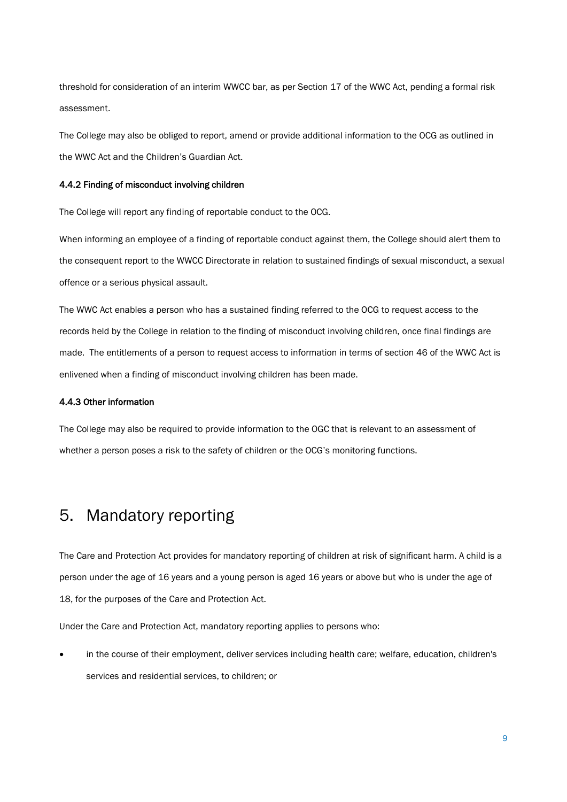threshold for consideration of an interim WWCC bar, as per Section 17 of the WWC Act, pending a formal risk assessment.

The College may also be obliged to report, amend or provide additional information to the OCG as outlined in the WWC Act and the Children's Guardian Act.

#### 4.4.2 Finding of misconduct involving children

The College will report any finding of reportable conduct to the OCG.

When informing an employee of a finding of reportable conduct against them, the College should alert them to the consequent report to the WWCC Directorate in relation to sustained findings of sexual misconduct, a sexual offence or a serious physical assault.

The WWC Act enables a person who has a sustained finding referred to the OCG to request access to the records held by the College in relation to the finding of misconduct involving children, once final findings are made. The entitlements of a person to request access to information in terms of section 46 of the WWC Act is enlivened when a finding of misconduct involving children has been made.

### 4.4.3 Other information

The College may also be required to provide information to the OGC that is relevant to an assessment of whether a person poses a risk to the safety of children or the OCG's monitoring functions.

## <span id="page-9-0"></span>5. Mandatory reporting

The Care and Protection Act provides for mandatory reporting of children at risk of significant harm. A child is a person under the age of 16 years and a young person is aged 16 years or above but who is under the age of 18, for the purposes of the Care and Protection Act.

Under the Care and Protection Act, mandatory reporting applies to persons who:

• in the course of their employment, deliver services including health care; welfare, education, children's services and residential services, to children; or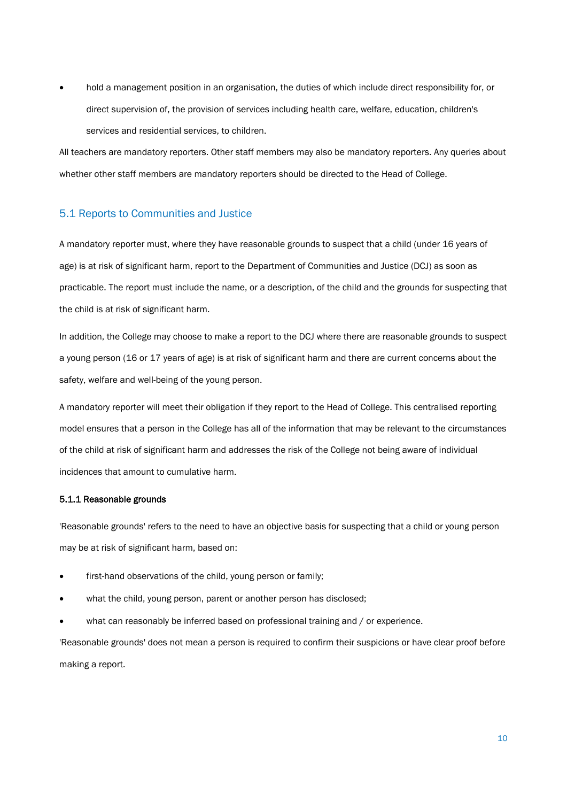• hold a management position in an organisation, the duties of which include direct responsibility for, or direct supervision of, the provision of services including health care, welfare, education, children's services and residential services, to children.

All teachers are mandatory reporters. Other staff members may also be mandatory reporters. Any queries about whether other staff members are mandatory reporters should be directed to the Head of College.

## 5.1 Reports to Communities and Justice

A mandatory reporter must, where they have reasonable grounds to suspect that a child (under 16 years of age) is at risk of significant harm, report to the Department of Communities and Justice (DCJ) as soon as practicable. The report must include the name, or a description, of the child and the grounds for suspecting that the child is at risk of significant harm.

In addition, the College may choose to make a report to the DCJ where there are reasonable grounds to suspect a young person (16 or 17 years of age) is at risk of significant harm and there are current concerns about the safety, welfare and well-being of the young person.

A mandatory reporter will meet their obligation if they report to the Head of College. This centralised reporting model ensures that a person in the College has all of the information that may be relevant to the circumstances of the child at risk of significant harm and addresses the risk of the College not being aware of individual incidences that amount to cumulative harm.

#### 5.1.1 Reasonable grounds

'Reasonable grounds' refers to the need to have an objective basis for suspecting that a child or young person may be at risk of significant harm, based on:

- first-hand observations of the child, young person or family;
- what the child, young person, parent or another person has disclosed;
- what can reasonably be inferred based on professional training and / or experience.

'Reasonable grounds' does not mean a person is required to confirm their suspicions or have clear proof before making a report.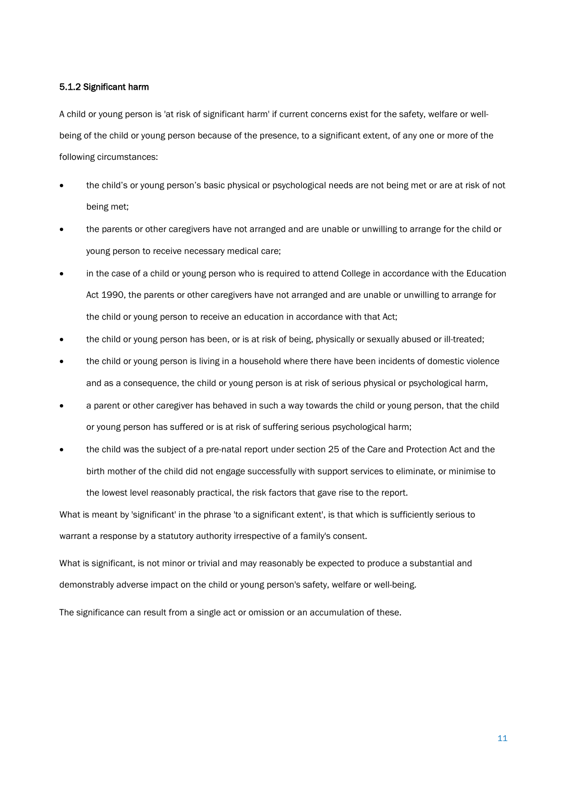#### 5.1.2 Significant harm

A child or young person is 'at risk of significant harm' if current concerns exist for the safety, welfare or wellbeing of the child or young person because of the presence, to a significant extent, of any one or more of the following circumstances:

- the child's or young person's basic physical or psychological needs are not being met or are at risk of not being met;
- the parents or other caregivers have not arranged and are unable or unwilling to arrange for the child or young person to receive necessary medical care;
- in the case of a child or young person who is required to attend College in accordance with the Education Act 1990, the parents or other caregivers have not arranged and are unable or unwilling to arrange for the child or young person to receive an education in accordance with that Act;
- the child or young person has been, or is at risk of being, physically or sexually abused or ill-treated;
- the child or young person is living in a household where there have been incidents of domestic violence and as a consequence, the child or young person is at risk of serious physical or psychological harm,
- a parent or other caregiver has behaved in such a way towards the child or young person, that the child or young person has suffered or is at risk of suffering serious psychological harm;
- the child was the subject of a pre-natal report under section 25 of the Care and Protection Act and the birth mother of the child did not engage successfully with support services to eliminate, or minimise to the lowest level reasonably practical, the risk factors that gave rise to the report.

What is meant by 'significant' in the phrase 'to a significant extent', is that which is sufficiently serious to warrant a response by a statutory authority irrespective of a family's consent.

What is significant, is not minor or trivial and may reasonably be expected to produce a substantial and demonstrably adverse impact on the child or young person's safety, welfare or well-being.

The significance can result from a single act or omission or an accumulation of these.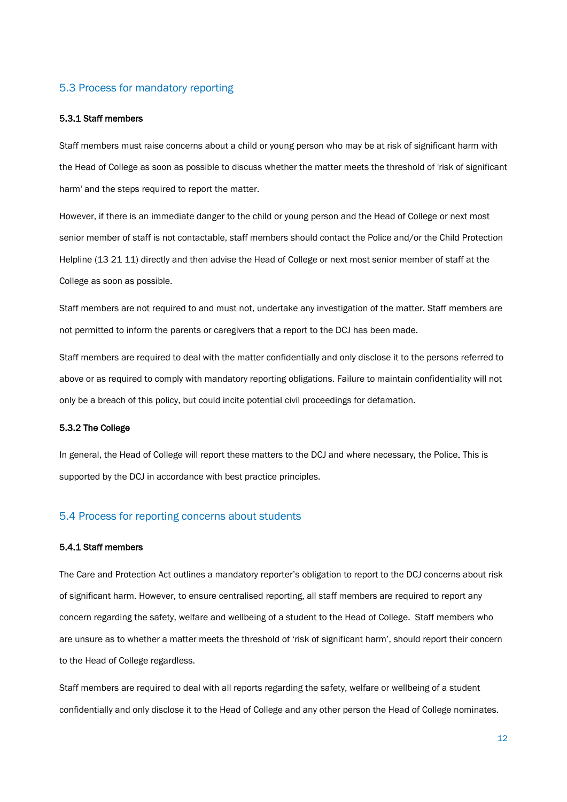### 5.3 Process for mandatory reporting

#### 5.3.1 Staff members

Staff members must raise concerns about a child or young person who may be at risk of significant harm with the Head of College as soon as possible to discuss whether the matter meets the threshold of 'risk of significant harm' and the steps required to report the matter.

However, if there is an immediate danger to the child or young person and the Head of College or next most senior member of staff is not contactable, staff members should contact the Police and/or the Child Protection Helpline (13 21 11) directly and then advise the Head of College or next most senior member of staff at the College as soon as possible.

Staff members are not required to and must not, undertake any investigation of the matter. Staff members are not permitted to inform the parents or caregivers that a report to the DCJ has been made.

Staff members are required to deal with the matter confidentially and only disclose it to the persons referred to above or as required to comply with mandatory reporting obligations. Failure to maintain confidentiality will not only be a breach of this policy, but could incite potential civil proceedings for defamation.

#### 5.3.2 The College

In general, the Head of College will report these matters to the DCJ and where necessary, the Police. This is supported by the DCJ in accordance with best practice principles.

## 5.4 Process for reporting concerns about students

#### 5.4.1 Staff members

The Care and Protection Act outlines a mandatory reporter's obligation to report to the DCJ concerns about risk of significant harm. However, to ensure centralised reporting, all staff members are required to report any concern regarding the safety, welfare and wellbeing of a student to the Head of College. Staff members who are unsure as to whether a matter meets the threshold of 'risk of significant harm', should report their concern to the Head of College regardless.

Staff members are required to deal with all reports regarding the safety, welfare or wellbeing of a student confidentially and only disclose it to the Head of College and any other person the Head of College nominates.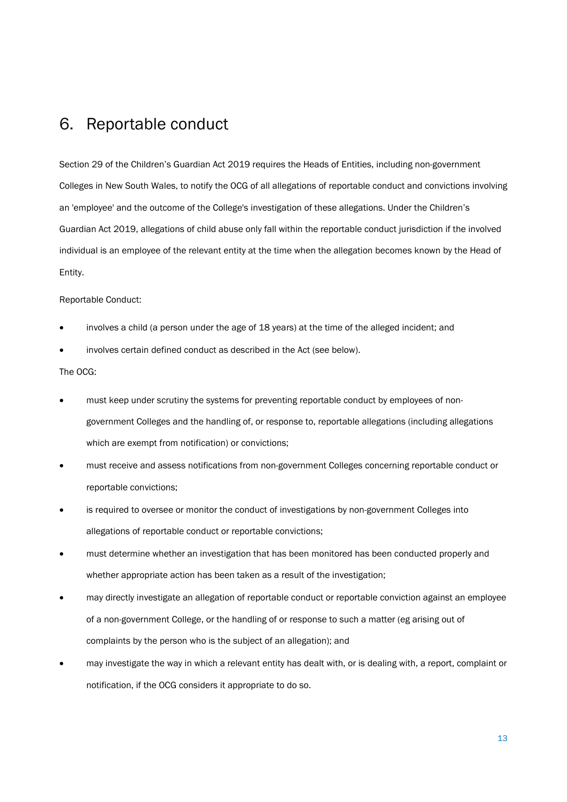## <span id="page-13-0"></span>6. Reportable conduct

Section 29 of the Children's Guardian Act 2019 requires the Heads of Entities, including non-government Colleges in New South Wales, to notify the OCG of all allegations of reportable conduct and convictions involving an 'employee' and the outcome of the College's investigation of these allegations. Under the Children's Guardian Act 2019, allegations of child abuse only fall within the reportable conduct jurisdiction if the involved individual is an employee of the relevant entity at the time when the allegation becomes known by the Head of Entity.

#### Reportable Conduct:

- involves a child (a person under the age of 18 years) at the time of the alleged incident; and
- involves certain defined conduct as described in the Act (see below).

#### The OCG:

- must keep under scrutiny the systems for preventing reportable conduct by employees of nongovernment Colleges and the handling of, or response to, reportable allegations (including allegations which are exempt from notification) or convictions;
- must receive and assess notifications from non-government Colleges concerning reportable conduct or reportable convictions;
- is required to oversee or monitor the conduct of investigations by non-government Colleges into allegations of reportable conduct or reportable convictions;
- must determine whether an investigation that has been monitored has been conducted properly and whether appropriate action has been taken as a result of the investigation;
- may directly investigate an allegation of reportable conduct or reportable conviction against an employee of a non-government College, or the handling of or response to such a matter (eg arising out of complaints by the person who is the subject of an allegation); and
- may investigate the way in which a relevant entity has dealt with, or is dealing with, a report, complaint or notification, if the OCG considers it appropriate to do so.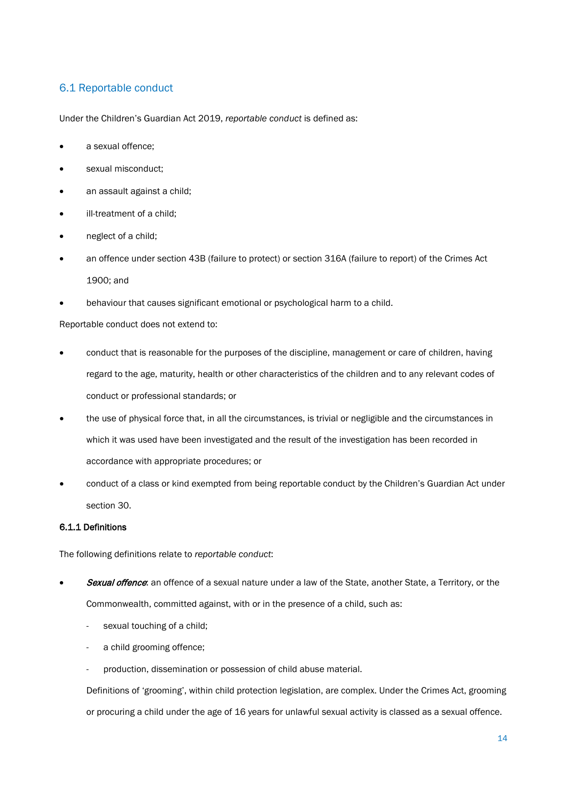## 6.1 Reportable conduct

Under the Children's Guardian Act 2019, *reportable conduct* is defined as:

- a sexual offence;
- sexual misconduct;
- an assault against a child;
- ill-treatment of a child;
- neglect of a child;
- an offence under section 43B (failure to protect) or section 316A (failure to report) of the Crimes Act 1900; and
- behaviour that causes significant emotional or psychological harm to a child.

Reportable conduct does not extend to:

- conduct that is reasonable for the purposes of the discipline, management or care of children, having regard to the age, maturity, health or other characteristics of the children and to any relevant codes of conduct or professional standards; or
- the use of physical force that, in all the circumstances, is trivial or negligible and the circumstances in which it was used have been investigated and the result of the investigation has been recorded in accordance with appropriate procedures; or
- conduct of a class or kind exempted from being reportable conduct by the Children's Guardian Act under section 30.

### 6.1.1 Definitions

The following definitions relate to *reportable conduct*:

- Sexual offence: an offence of a sexual nature under a law of the State, another State, a Territory, or the Commonwealth, committed against, with or in the presence of a child, such as:
	- sexual touching of a child;
	- a child grooming offence;
	- production, dissemination or possession of child abuse material.

Definitions of 'grooming', within child protection legislation, are complex. Under the Crimes Act, grooming or procuring a child under the age of 16 years for unlawful sexual activity is classed as a sexual offence.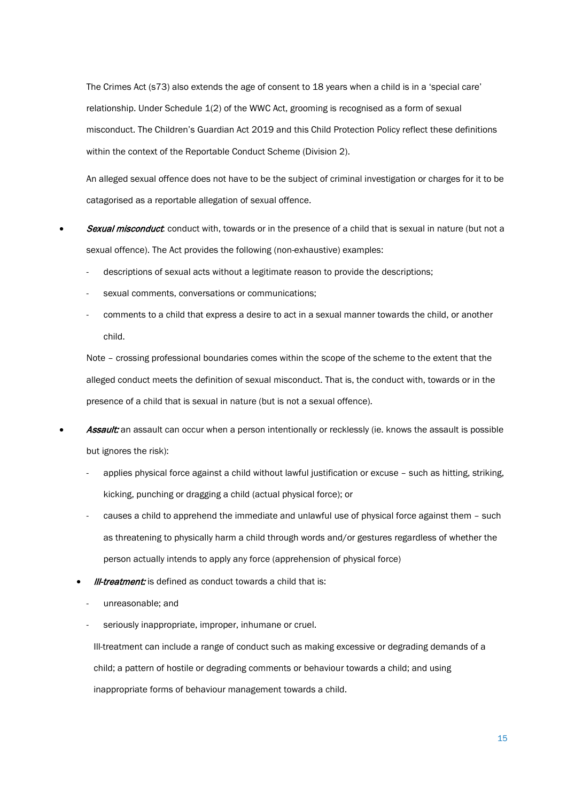The Crimes Act (s73) also extends the age of consent to 18 years when a child is in a 'special care' relationship. Under Schedule 1(2) of the WWC Act, grooming is recognised as a form of sexual misconduct. The Children's Guardian Act 2019 and this Child Protection Policy reflect these definitions within the context of the Reportable Conduct Scheme (Division 2).

An alleged sexual offence does not have to be the subject of criminal investigation or charges for it to be catagorised as a reportable allegation of sexual offence.

- **Sexual misconduct**: conduct with, towards or in the presence of a child that is sexual in nature (but not a sexual offence). The Act provides the following (non-exhaustive) examples:
	- descriptions of sexual acts without a legitimate reason to provide the descriptions;
	- sexual comments, conversations or communications;
	- comments to a child that express a desire to act in a sexual manner towards the child, or another child.

Note – crossing professional boundaries comes within the scope of the scheme to the extent that the alleged conduct meets the definition of sexual misconduct. That is, the conduct with, towards or in the presence of a child that is sexual in nature (but is not a sexual offence).

- **Assault:** an assault can occur when a person intentionally or recklessly (ie. knows the assault is possible but ignores the risk):
	- applies physical force against a child without lawful justification or excuse such as hitting, striking, kicking, punching or dragging a child (actual physical force); or
	- causes a child to apprehend the immediate and unlawful use of physical force against them such as threatening to physically harm a child through words and/or gestures regardless of whether the person actually intends to apply any force (apprehension of physical force)
	- **III-treatment:** is defined as conduct towards a child that is:
		- unreasonable; and
		- seriously inappropriate, improper, inhumane or cruel.

Ill-treatment can include a range of conduct such as making excessive or degrading demands of a child; a pattern of hostile or degrading comments or behaviour towards a child; and using inappropriate forms of behaviour management towards a child.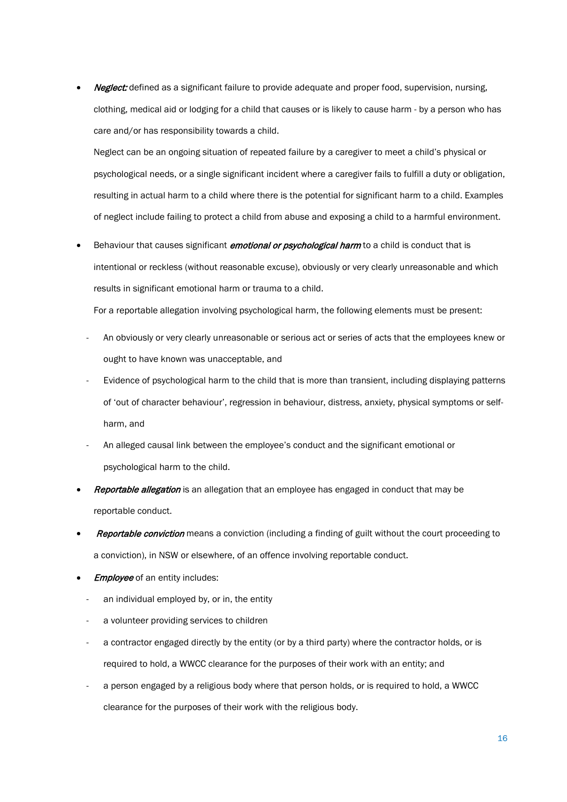Neglect: defined as a significant failure to provide adequate and proper food, supervision, nursing, clothing, medical aid or lodging for a child that causes or is likely to cause harm - by a person who has care and/or has responsibility towards a child.

Neglect can be an ongoing situation of repeated failure by a caregiver to meet a child's physical or psychological needs, or a single significant incident where a caregiver fails to fulfill a duty or obligation, resulting in actual harm to a child where there is the potential for significant harm to a child. Examples of neglect include failing to protect a child from abuse and exposing a child to a harmful environment.

Behaviour that causes significant *emotional or psychological harm* to a child is conduct that is intentional or reckless (without reasonable excuse), obviously or very clearly unreasonable and which results in significant emotional harm or trauma to a child.

For a reportable allegation involving psychological harm, the following elements must be present:

- An obviously or very clearly unreasonable or serious act or series of acts that the employees knew or ought to have known was unacceptable, and
- Evidence of psychological harm to the child that is more than transient, including displaying patterns of 'out of character behaviour', regression in behaviour, distress, anxiety, physical symptoms or selfharm, and
- An alleged causal link between the employee's conduct and the significant emotional or psychological harm to the child.
- Reportable allegation is an allegation that an employee has engaged in conduct that may be reportable conduct.
- **Reportable conviction** means a conviction (including a finding of guilt without the court proceeding to a conviction), in NSW or elsewhere, of an offence involving reportable conduct.
- **Employee** of an entity includes:
	- an individual employed by, or in, the entity
	- a volunteer providing services to children
	- a contractor engaged directly by the entity (or by a third party) where the contractor holds, or is required to hold, a WWCC clearance for the purposes of their work with an entity; and
	- a person engaged by a religious body where that person holds, or is required to hold, a WWCC clearance for the purposes of their work with the religious body.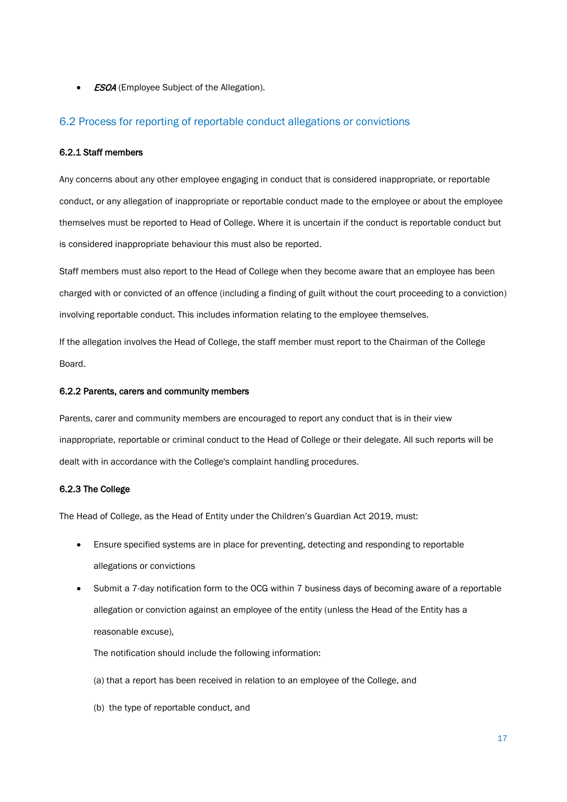**ESOA** (Employee Subject of the Allegation).

### 6.2 Process for reporting of reportable conduct allegations or convictions

#### 6.2.1 Staff members

Any concerns about any other employee engaging in conduct that is considered inappropriate, or reportable conduct, or any allegation of inappropriate or reportable conduct made to the employee or about the employee themselves must be reported to Head of College. Where it is uncertain if the conduct is reportable conduct but is considered inappropriate behaviour this must also be reported.

Staff members must also report to the Head of College when they become aware that an employee has been charged with or convicted of an offence (including a finding of guilt without the court proceeding to a conviction) involving reportable conduct. This includes information relating to the employee themselves.

If the allegation involves the Head of College, the staff member must report to the Chairman of the College Board.

#### 6.2.2 Parents, carers and community members

Parents, carer and community members are encouraged to report any conduct that is in their view inappropriate, reportable or criminal conduct to the Head of College or their delegate. All such reports will be dealt with in accordance with the College's complaint handling procedures.

#### 6.2.3 The College

The Head of College, as the Head of Entity under the Children's Guardian Act 2019, must:

- Ensure specified systems are in place for preventing, detecting and responding to reportable allegations or convictions
- Submit a 7-day notification form to the OCG within 7 business days of becoming aware of a reportable allegation or conviction against an employee of the entity (unless the Head of the Entity has a reasonable excuse),

The notification should include the following information:

- (a) that a report has been received in relation to an employee of the College, and
- (b) the type of reportable conduct, and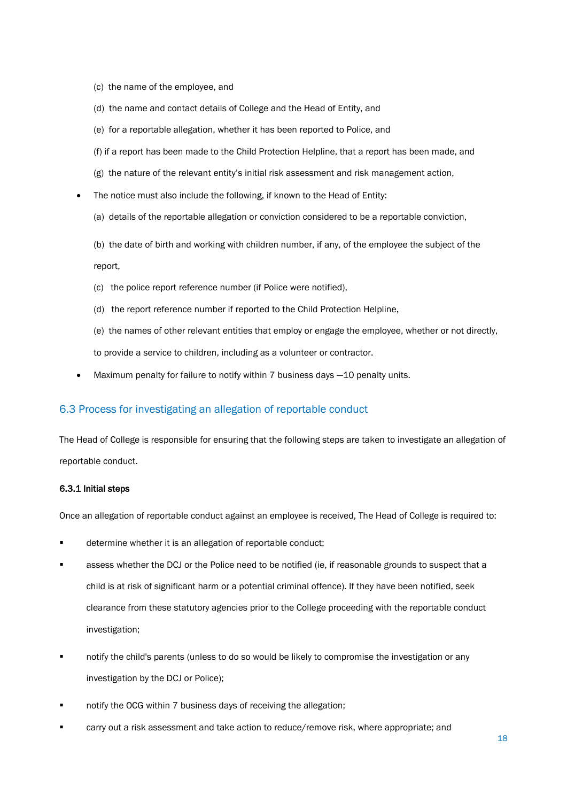- (c) the name of the employee, and
- (d) the name and contact details of College and the Head of Entity, and
- (e) for a reportable allegation, whether it has been reported to Police, and
- (f) if a report has been made to the Child Protection Helpline, that a report has been made, and
- (g) the nature of the relevant entity's initial risk assessment and risk management action,
- The notice must also include the following, if known to the Head of Entity:
	- (a) details of the reportable allegation or conviction considered to be a reportable conviction,
	- (b) the date of birth and working with children number, if any, of the employee the subject of the report,
	- (c) the police report reference number (if Police were notified),
	- (d) the report reference number if reported to the Child Protection Helpline,
	- (e) the names of other relevant entities that employ or engage the employee, whether or not directly, to provide a service to children, including as a volunteer or contractor.
- Maximum penalty for failure to notify within 7 business days -10 penalty units.

### 6.3 Process for investigating an allegation of reportable conduct

The Head of College is responsible for ensuring that the following steps are taken to investigate an allegation of reportable conduct.

#### 6.3.1 Initial steps

Once an allegation of reportable conduct against an employee is received, The Head of College is required to:

- determine whether it is an allegation of reportable conduct;
- assess whether the DCJ or the Police need to be notified (ie, if reasonable grounds to suspect that a child is at risk of significant harm or a potential criminal offence). If they have been notified, seek clearance from these statutory agencies prior to the College proceeding with the reportable conduct investigation;
- notify the child's parents (unless to do so would be likely to compromise the investigation or any investigation by the DCJ or Police);
- notify the OCG within 7 business days of receiving the allegation;
- carry out a risk assessment and take action to reduce/remove risk, where appropriate; and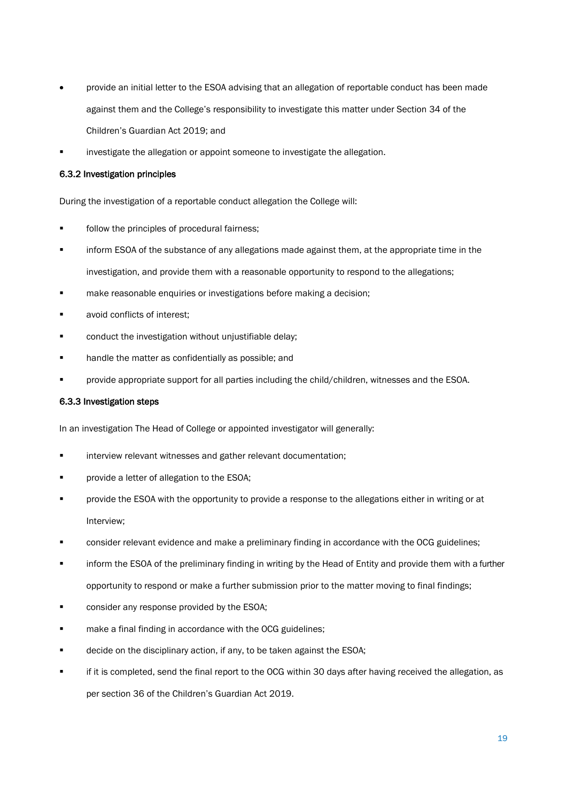- provide an initial letter to the ESOA advising that an allegation of reportable conduct has been made against them and the College's responsibility to investigate this matter under Section 34 of the Children's Guardian Act 2019; and
- investigate the allegation or appoint someone to investigate the allegation.

#### 6.3.2 Investigation principles

During the investigation of a reportable conduct allegation the College will:

- follow the principles of procedural fairness;
- inform ESOA of the substance of any allegations made against them, at the appropriate time in the investigation, and provide them with a reasonable opportunity to respond to the allegations;
- make reasonable enquiries or investigations before making a decision;
- avoid conflicts of interest;
- conduct the investigation without unjustifiable delay;
- handle the matter as confidentially as possible; and
- provide appropriate support for all parties including the child/children, witnesses and the ESOA.

#### 6.3.3 Investigation steps

In an investigation The Head of College or appointed investigator will generally:

- **EXECT** interview relevant witnesses and gather relevant documentation;
- provide a letter of allegation to the ESOA;
- **Photon in the ESOA with the opportunity to provide a response to the allegations either in writing or at** Interview;
- **EXECT** consider relevant evidence and make a preliminary finding in accordance with the OCG guidelines;
- inform the ESOA of the preliminary finding in writing by the Head of Entity and provide them with a further opportunity to respond or make a further submission prior to the matter moving to final findings;
- consider any response provided by the ESOA;
- make a final finding in accordance with the OCG guidelines;
- decide on the disciplinary action, if any, to be taken against the ESOA;
- if it is completed, send the final report to the OCG within 30 days after having received the allegation, as per section 36 of the Children's Guardian Act 2019.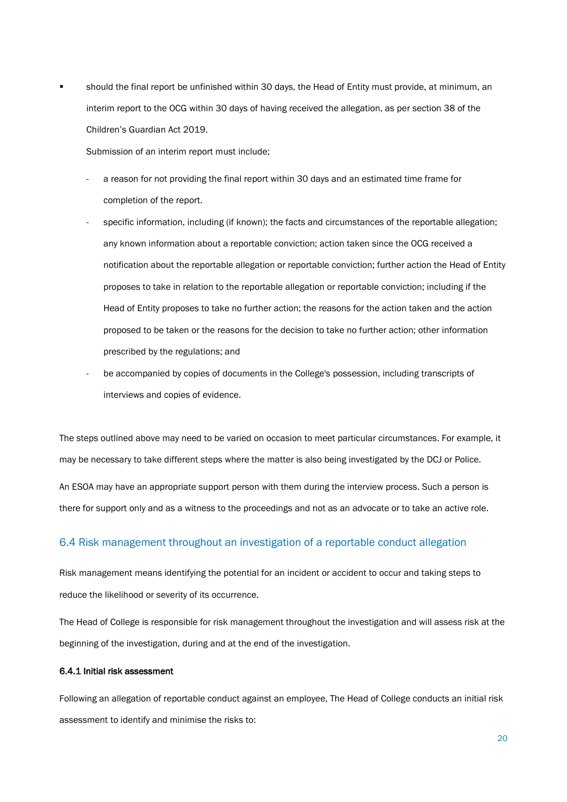should the final report be unfinished within 30 days, the Head of Entity must provide, at minimum, an interim report to the OCG within 30 days of having received the allegation, as per section 38 of the Children's Guardian Act 2019.

Submission of an interim report must include;

- a reason for not providing the final report within 30 days and an estimated time frame for completion of the report.
- specific information, including (if known); the facts and circumstances of the reportable allegation; any known information about a reportable conviction; action taken since the OCG received a notification about the reportable allegation or reportable conviction; further action the Head of Entity proposes to take in relation to the reportable allegation or reportable conviction; including if the Head of Entity proposes to take no further action; the reasons for the action taken and the action proposed to be taken or the reasons for the decision to take no further action; other information prescribed by the regulations; and
- be accompanied by copies of documents in the College's possession, including transcripts of interviews and copies of evidence.

The steps outlined above may need to be varied on occasion to meet particular circumstances. For example, it may be necessary to take different steps where the matter is also being investigated by the DCJ or Police.

An ESOA may have an appropriate support person with them during the interview process. Such a person is there for support only and as a witness to the proceedings and not as an advocate or to take an active role.

## 6.4 Risk management throughout an investigation of a reportable conduct allegation

Risk management means identifying the potential for an incident or accident to occur and taking steps to reduce the likelihood or severity of its occurrence.

The Head of College is responsible for risk management throughout the investigation and will assess risk at the beginning of the investigation, during and at the end of the investigation.

#### 6.4.1 Initial risk assessment

Following an allegation of reportable conduct against an employee, The Head of College conducts an initial risk assessment to identify and minimise the risks to: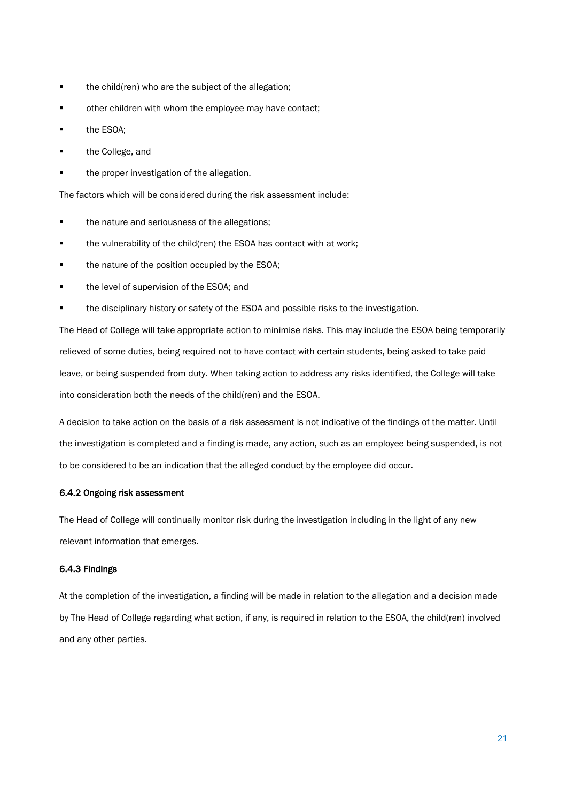- **the child(ren) who are the subject of the allegation;**
- **•** other children with whom the employee may have contact;
- **the ESOA;**
- **the College, and**
- **the proper investigation of the allegation.**

The factors which will be considered during the risk assessment include:

- **the nature and seriousness of the allegations;**
- the vulnerability of the child(ren) the ESOA has contact with at work;
- the nature of the position occupied by the ESOA;
- the level of supervision of the ESOA; and
- the disciplinary history or safety of the ESOA and possible risks to the investigation.

The Head of College will take appropriate action to minimise risks. This may include the ESOA being temporarily relieved of some duties, being required not to have contact with certain students, being asked to take paid leave, or being suspended from duty. When taking action to address any risks identified, the College will take into consideration both the needs of the child(ren) and the ESOA.

A decision to take action on the basis of a risk assessment is not indicative of the findings of the matter. Until the investigation is completed and a finding is made, any action, such as an employee being suspended, is not to be considered to be an indication that the alleged conduct by the employee did occur.

#### 6.4.2 Ongoing risk assessment

The Head of College will continually monitor risk during the investigation including in the light of any new relevant information that emerges.

#### 6.4.3 Findings

At the completion of the investigation, a finding will be made in relation to the allegation and a decision made by The Head of College regarding what action, if any, is required in relation to the ESOA, the child(ren) involved and any other parties.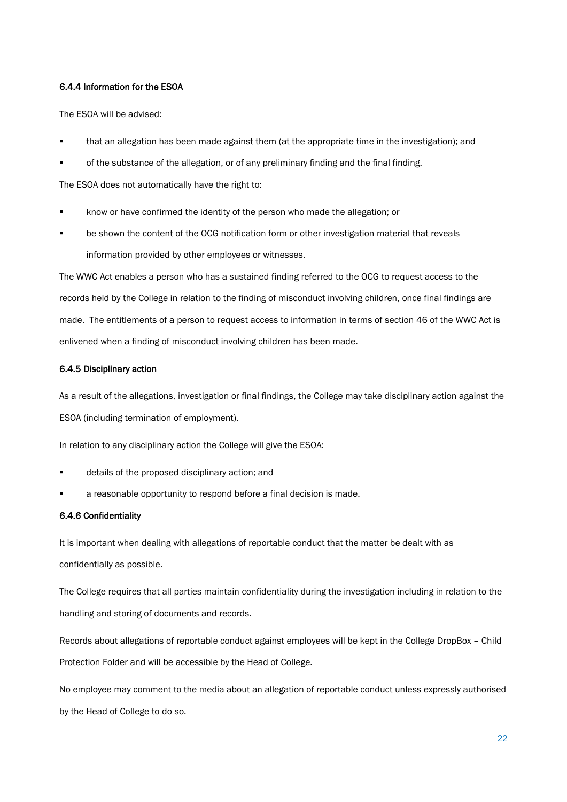#### 6.4.4 Information for the ESOA

The ESOA will be advised:

- that an allegation has been made against them (at the appropriate time in the investigation); and
- of the substance of the allegation, or of any preliminary finding and the final finding.

The ESOA does not automatically have the right to:

- know or have confirmed the identity of the person who made the allegation; or
- be shown the content of the OCG notification form or other investigation material that reveals information provided by other employees or witnesses.

The WWC Act enables a person who has a sustained finding referred to the OCG to request access to the records held by the College in relation to the finding of misconduct involving children, once final findings are made. The entitlements of a person to request access to information in terms of section 46 of the WWC Act is enlivened when a finding of misconduct involving children has been made.

#### 6.4.5 Disciplinary action

As a result of the allegations, investigation or final findings, the College may take disciplinary action against the ESOA (including termination of employment).

In relation to any disciplinary action the College will give the ESOA:

- details of the proposed disciplinary action; and
- a reasonable opportunity to respond before a final decision is made.

#### 6.4.6 Confidentiality

It is important when dealing with allegations of reportable conduct that the matter be dealt with as confidentially as possible.

The College requires that all parties maintain confidentiality during the investigation including in relation to the handling and storing of documents and records.

Records about allegations of reportable conduct against employees will be kept in the College DropBox – Child Protection Folder and will be accessible by the Head of College.

No employee may comment to the media about an allegation of reportable conduct unless expressly authorised by the Head of College to do so.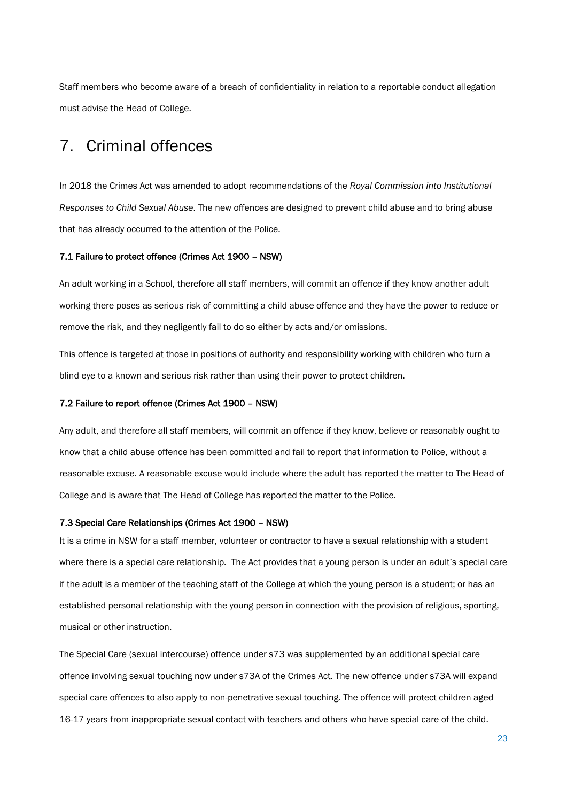Staff members who become aware of a breach of confidentiality in relation to a reportable conduct allegation must advise the Head of College.

## <span id="page-23-0"></span>7. Criminal offences

In 2018 the Crimes Act was amended to adopt recommendations of the *Royal Commission into Institutional Responses to Child Sexual Abuse*. The new offences are designed to prevent child abuse and to bring abuse that has already occurred to the attention of the Police.

#### 7.1 Failure to protect offence (Crimes Act 1900 – NSW)

An adult working in a School, therefore all staff members, will commit an offence if they know another adult working there poses as serious risk of committing a child abuse offence and they have the power to reduce or remove the risk, and they negligently fail to do so either by acts and/or omissions.

This offence is targeted at those in positions of authority and responsibility working with children who turn a blind eye to a known and serious risk rather than using their power to protect children.

#### 7.2 Failure to report offence (Crimes Act 1900 – NSW)

Any adult, and therefore all staff members, will commit an offence if they know, believe or reasonably ought to know that a child abuse offence has been committed and fail to report that information to Police, without a reasonable excuse. A reasonable excuse would include where the adult has reported the matter to The Head of College and is aware that The Head of College has reported the matter to the Police.

#### <span id="page-23-1"></span>7.3 Special Care Relationships (Crimes Act 1900 – NSW)

It is a crime in NSW for a staff member, volunteer or contractor to have a sexual relationship with a student where there is a special care relationship. The Act provides that a young person is under an adult's special care if the adult is a member of the teaching staff of the College at which the young person is a student; or has an established personal relationship with the young person in connection with the provision of religious, sporting, musical or other instruction.

The Special Care (sexual intercourse) offence under s73 was supplemented by an additional special care offence involving sexual touching now under s73A of the Crimes Act. The new offence under s73A will expand special care offences to also apply to non-penetrative sexual touching. The offence will protect children aged 16-17 years from inappropriate sexual contact with teachers and others who have special care of the child.